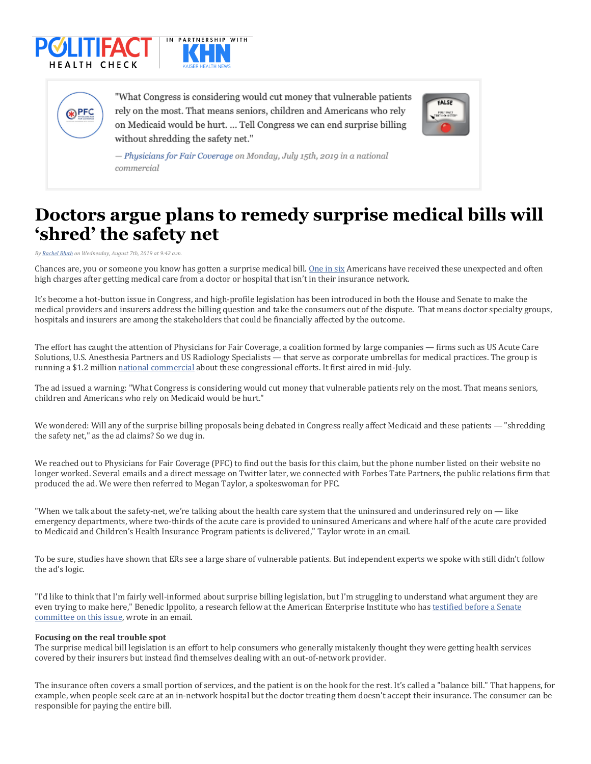





"What Congress is considering would cut money that vulnerable patients" rely on the most. That means seniors, children and Americans who rely on Medicaid would be hurt. ... Tell Congress we can end surprise billing without shredding the safety net."



- Physicians for Fair Coverage on Monday, July 15th, 2019 in a national commercial

## **Doctors argue plans to remedy surprise medical bills will 'shred' the safety net**

*By Rachel Bluth on Wednesday, August 7th, 2019 at 9:42 a.m.*

Chances are, you or someone you know has gotten a surprise medical bill. One in six Americans have received these unexpected and often high charges after getting medical care from a doctor or hospital that isn't in their insurance network.

It's become a hot-button issue in Congress, and high-profile legislation has been introduced in both the House and Senate to make the medical providers and insurers address the billing question and take the consumers out of the dispute. That means doctor specialty groups, hospitals and insurers are among the stakeholders that could be financially affected by the outcome.

The effort has caught the attention of Physicians for Fair Coverage, a coalition formed by large companies — firms such as US Acute Care Solutions, U.S. Anesthesia Partners and US Radiology Specialists - that serve as corporate umbrellas for medical practices. The group is running a \$1.2 million national commercial about these congressional efforts. It first aired in mid-July.

The ad issued a warning: "What Congress is considering would cut money that vulnerable patients rely on the most. That means seniors, children and Americans who rely on Medicaid would be hurt."

We wondered: Will any of the surprise billing proposals being debated in Congress really affect Medicaid and these patients — "shredding the safety net," as the ad claims? So we dug in.

We reached out to Physicians for Fair Coverage (PFC) to find out the basis for this claim, but the phone number listed on their website no longer worked. Several emails and a direct message on Twitter later, we connected with Forbes Tate Partners, the public relations firm that produced the ad. We were then referred to Megan Taylor, a spokeswoman for PFC.

"When we talk about the safety-net, we're talking about the health care system that the uninsured and underinsured rely on  $-$  like emergency departments, where two-thirds of the acute care is provided to uninsured Americans and where half of the acute care provided to Medicaid and Children's Health Insurance Program patients is delivered," Taylor wrote in an email.

To be sure, studies have shown that ERs see a large share of vulnerable patients. But independent experts we spoke with still didn't follow the ad's logic.

"I'd like to think that I'm fairly well-informed about surprise billing legislation, but I'm struggling to understand what argument they are even trying to make here," Benedic Ippolito, a research fellow at the American Enterprise Institute who has testified before a Senate committee on this issue, wrote in an email.

## **Focusing on the real trouble spot**

The surprise medical bill legislation is an effort to help consumers who generally mistakenly thought they were getting health services covered by their insurers but instead find themselves dealing with an out-of-network provider.

The insurance often covers a small portion of services, and the patient is on the hook for the rest. It's called a "balance bill." That happens, for example, when people seek care at an in-network hospital but the doctor treating them doesn't accept their insurance. The consumer can be responsible for paying the entire bill.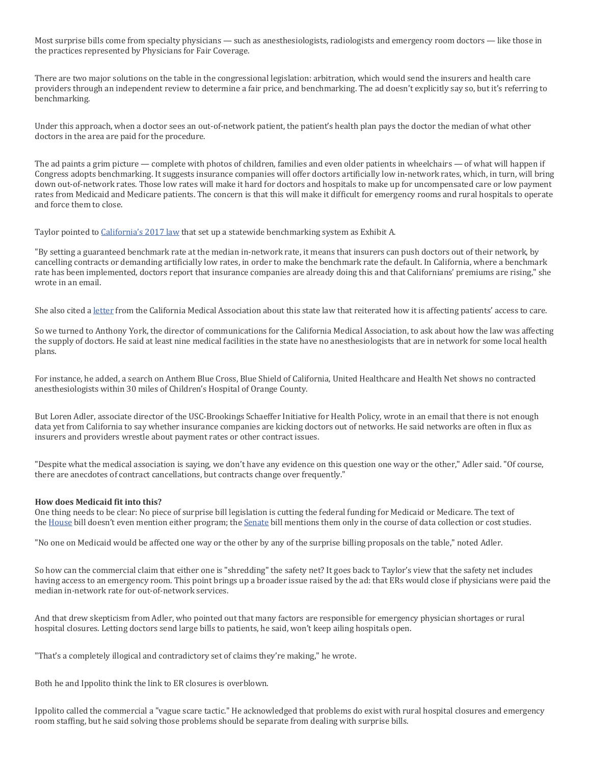Most surprise bills come from specialty physicians — such as anesthesiologists, radiologists and emergency room doctors — like those in the practices represented by Physicians for Fair Coverage.

There are two major solutions on the table in the congressional legislation: arbitration, which would send the insurers and health care providers through an independent review to determine a fair price, and benchmarking. The ad doesn't explicitly say so, but it's referring to benchmarking.

Under this approach, when a doctor sees an out-of-network patient, the patient's health plan pays the doctor the median of what other doctors in the area are paid for the procedure.

The ad paints a grim picture — complete with photos of children, families and even older patients in wheelchairs — of what will happen if Congress adopts benchmarking. It suggests insurance companies will offer doctors artificially low in-network rates, which, in turn, will bring down out-of-network rates. Those low rates will make it hard for doctors and hospitals to make up for uncompensated care or low payment rates from Medicaid and Medicare patients. The concern is that this will make it difficult for emergency rooms and rural hospitals to operate and force them to close.

Taylor pointed to California's 2017 law that set up a statewide benchmarking system as Exhibit A.

"By setting a guaranteed benchmark rate at the median in-network rate, it means that insurers can push doctors out of their network, by cancelling contracts or demanding artificially low rates, in order to make the benchmark rate the default. In California, where a benchmark rate has been implemented, doctors report that insurance companies are already doing this and that Californians' premiums are rising," she wrote in an email.

She also cited a letter from the California Medical Association about this state law that reiterated how it is affecting patients' access to care.

So we turned to Anthony York, the director of communications for the California Medical Association, to ask about how the law was affecting the supply of doctors. He said at least nine medical facilities in the state have no anesthesiologists that are in network for some local health plans.

For instance, he added, a search on Anthem Blue Cross, Blue Shield of California, United Healthcare and Health Net shows no contracted anesthesiologists within 30 miles of Children's Hospital of Orange County.

But Loren Adler, associate director of the USC-Brookings Schaeffer Initiative for Health Policy, wrote in an email that there is not enough data yet from California to say whether insurance companies are kicking doctors out of networks. He said networks are often in flux as insurers and providers wrestle about payment rates or other contract issues.

"Despite what the medical association is saying, we don't have any evidence on this question one way or the other," Adler said. "Of course, there are anecdotes of contract cancellations, but contracts change over frequently."

## **How does Medicaid fit into this?**

One thing needs to be clear: No piece of surprise bill legislation is cutting the federal funding for Medicaid or Medicare. The text of the House bill doesn't even mention either program; the Senate bill mentions them only in the course of data collection or cost studies.

"No one on Medicaid would be affected one way or the other by any of the surprise billing proposals on the table," noted Adler.

So how can the commercial claim that either one is "shredding" the safety net? It goes back to Taylor's view that the safety net includes having access to an emergency room. This point brings up a broader issue raised by the ad: that ERs would close if physicians were paid the median in-network rate for out-of-network services.

And that drew skepticism from Adler, who pointed out that many factors are responsible for emergency physician shortages or rural hospital closures. Letting doctors send large bills to patients, he said, won't keep ailing hospitals open.

"That's a completely illogical and contradictory set of claims they're making," he wrote.

Both he and Ippolito think the link to ER closures is overblown.

Ippolito called the commercial a "vague scare tactic." He acknowledged that problems do exist with rural hospital closures and emergency room staffing, but he said solving those problems should be separate from dealing with surprise bills.